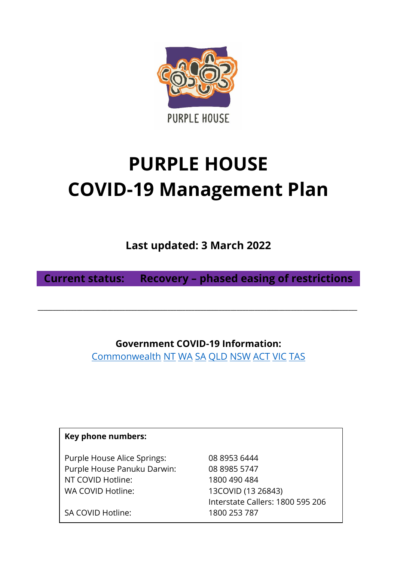

# **PURPLE HOUSE COVID-19 Management Plan**

**Last updated: 3 March 2022**

**Current status: Recovery – phased easing of restrictions**

**\_\_\_\_\_\_\_\_\_\_\_\_\_\_\_\_\_\_\_\_\_\_\_\_\_\_\_\_\_\_\_\_\_\_\_\_\_\_\_\_\_\_\_\_\_\_\_\_\_\_\_\_\_\_\_\_\_\_\_\_\_\_\_\_\_\_\_\_\_\_\_\_\_\_\_\_\_\_\_\_\_\_\_\_\_\_\_\_\_\_\_\_\_\_\_\_\_\_\_\_\_\_\_\_\_\_**

**Government COVID-19 Information:**

[Commonwealth](https://www.australia.gov.au/) [NT](https://coronavirus.nt.gov.au/) [WA](https://www.wa.gov.au/organisation/department-of-the-premier-and-cabinet/covid-19-coronavirus-latest-updates) [SA](https://www.covid-19.sa.gov.au/) [QLD](https://www.covid19.qld.gov.au/) [NSW](https://www.nsw.gov.au/covid-19/rules) [ACT](https://www.covid19.act.gov.au/) [VIC](https://www.coronavirus.vic.gov.au/) [TAS](https://www.coronavirus.tas.gov.au/)

| Key phone numbers:          |                                  |
|-----------------------------|----------------------------------|
| Purple House Alice Springs: | 08 8953 6444                     |
| Purple House Panuku Darwin: | 08 8985 5747                     |
| NT COVID Hotline:           | 1800 490 484                     |
| WA COVID Hotline:           | 13COVID (13 26843)               |
|                             | Interstate Callers: 1800 595 206 |
| SA COVID Hotline:           | 1800 253 787                     |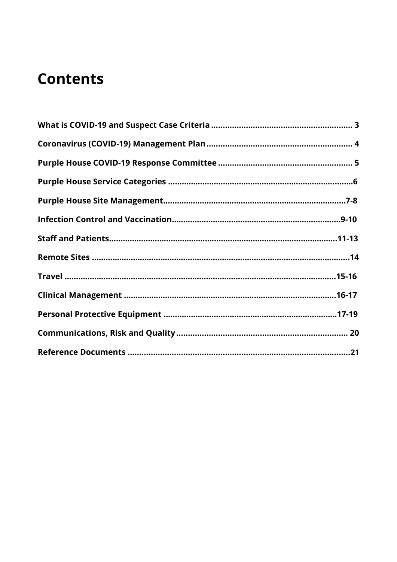## **Contents**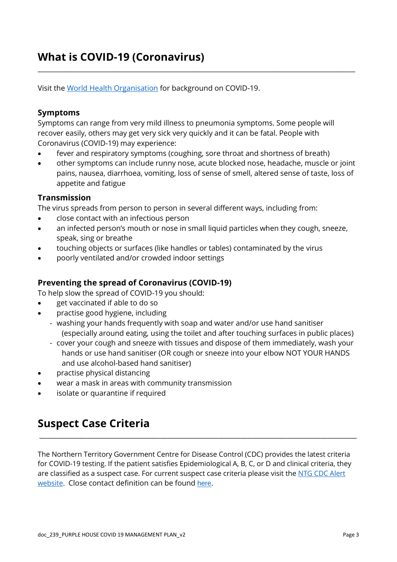## <span id="page-2-0"></span>**What is COVID-19 (Coronavirus)**

Visit the [World Health Organisation](https://www.who.int/emergencies/diseases/novel-coronavirus-2019) for background on COVID-19.

#### **Symptoms**

Symptoms can range from very mild illness to pneumonia symptoms. Some people will recover easily, others may get very sick very quickly and it can be fatal. People with Coronavirus (COVID-19) may experience:

- fever and respiratory symptoms (coughing, sore throat and shortness of breath)
- other symptoms can include runny nose, acute blocked nose, headache, muscle or joint pains, nausea, diarrhoea, vomiting, loss of sense of smell, altered sense of taste, loss of appetite and fatigue

\_\_\_\_\_\_\_\_\_\_\_\_\_\_\_\_\_\_\_\_\_\_\_\_\_\_\_\_\_\_\_\_\_\_\_\_\_\_\_\_\_\_\_\_\_\_\_\_\_\_\_\_\_\_\_\_\_\_\_\_\_\_\_\_\_\_\_\_\_\_\_\_\_\_\_\_\_\_\_\_\_\_\_\_\_\_\_

#### **Transmission**

The virus spreads from person to person in several different ways, including from:

- close contact with an infectious person
- an infected person's mouth or nose in small liquid particles when they cough, sneeze, speak, sing or breathe
- touching objects or surfaces (like handles or tables) contaminated by the virus
- poorly ventilated and/or crowded indoor settings

#### **Preventing the spread of Coronavirus (COVID-19)**

To help slow the spread of COVID-19 you should:

- get vaccinated if able to do so
- practise good hygiene, including
	- washing your hands frequently with soap and water and/or use hand sanitiser (especially around eating, using the toilet and after touching surfaces in public places)
	- cover your cough and sneeze with tissues and dispose of them immediately, wash your hands or use hand sanitiser (OR cough or sneeze into your elbow NOT YOUR HANDS and use alcohol-based hand sanitiser)
- practise physical distancing
- wear a mask in areas with community transmission
- isolate or quarantine if required

## <span id="page-2-2"></span>**Suspect Case Criteria**

<span id="page-2-1"></span>The Northern Territory Government Centre for Disease Control (CDC) provides the latest criteria for COVID-19 testing. If the patient satisfies Epidemiological A, B, C, or D and clinical criteria, they are classified as a suspect case. For current suspect case criteria please visit the NTG CDC Alert [website.](https://health.nt.gov.au/health-alerts/covid-19-alert-for-clinicians) Close contact definition can be found [here](https://www.healthdirect.gov.au/coronavirus-covid-19-how-to-avoid-infection-faqs).

\_\_\_\_\_\_\_\_\_\_\_\_\_\_\_\_\_\_\_\_\_\_\_\_\_\_\_\_\_\_\_\_\_\_\_\_\_\_\_\_\_\_\_\_\_\_\_\_\_\_\_\_\_\_\_\_\_\_\_\_\_\_\_\_\_\_\_\_\_\_\_\_\_\_\_\_\_\_\_\_\_\_\_\_\_\_\_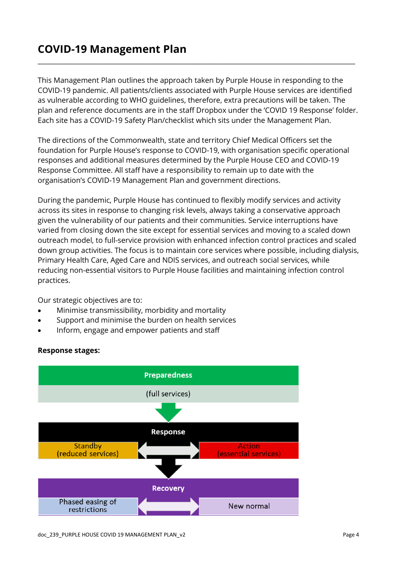## **COVID-19 Management Plan**

This Management Plan outlines the approach taken by Purple House in responding to the COVID-19 pandemic. All patients/clients associated with Purple House services are identified as vulnerable according to WHO guidelines, therefore, extra precautions will be taken. The plan and reference documents are in the staff Dropbox under the 'COVID 19 Response' folder. Each site has a COVID-19 Safety Plan/checklist which sits under the Management Plan.

\_\_\_\_\_\_\_\_\_\_\_\_\_\_\_\_\_\_\_\_\_\_\_\_\_\_\_\_\_\_\_\_\_\_\_\_\_\_\_\_\_\_\_\_\_\_\_\_\_\_\_\_\_\_\_\_\_\_\_\_\_\_\_\_\_\_\_\_\_\_\_\_\_\_\_\_\_\_\_\_\_\_\_\_\_\_\_

The directions of the Commonwealth, state and territory Chief Medical Officers set the foundation for Purple House's response to COVID-19, with organisation specific operational responses and additional measures determined by the Purple House CEO and COVID-19 Response Committee. All staff have a responsibility to remain up to date with the organisation's COVID-19 Management Plan and government directions.

During the pandemic, Purple House has continued to flexibly modify services and activity across its sites in response to changing risk levels, always taking a conservative approach given the vulnerability of our patients and their communities. Service interruptions have varied from closing down the site except for essential services and moving to a scaled down outreach model, to full-service provision with enhanced infection control practices and scaled down group activities. The focus is to maintain core services where possible, including dialysis, Primary Health Care, Aged Care and NDIS services, and outreach social services, while reducing non-essential visitors to Purple House facilities and maintaining infection control practices.

Our strategic objectives are to:

- Minimise transmissibility, morbidity and mortality
- Support and minimise the burden on health services
- Inform, engage and empower patients and staff



#### <span id="page-3-0"></span>**Response stages:**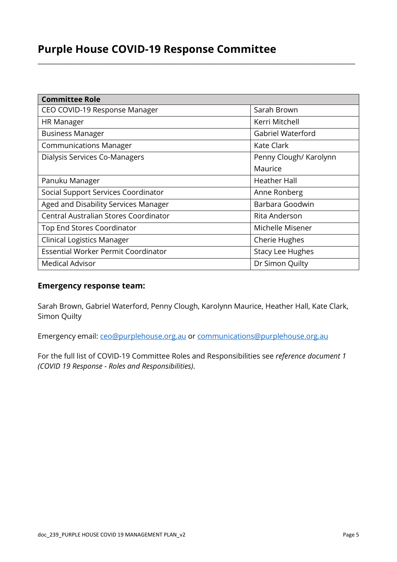## **Purple House COVID-19 Response Committee**

| <b>Committee Role</b>                 |                         |
|---------------------------------------|-------------------------|
| CEO COVID-19 Response Manager         | Sarah Brown             |
| <b>HR Manager</b>                     | Kerri Mitchell          |
| <b>Business Manager</b>               | Gabriel Waterford       |
| <b>Communications Manager</b>         | Kate Clark              |
| Dialysis Services Co-Managers         | Penny Clough/ Karolynn  |
|                                       | Maurice                 |
| Panuku Manager                        | <b>Heather Hall</b>     |
| Social Support Services Coordinator   | Anne Ronberg            |
| Aged and Disability Services Manager  | Barbara Goodwin         |
| Central Australian Stores Coordinator | Rita Anderson           |
| Top End Stores Coordinator            | Michelle Misener        |
| <b>Clinical Logistics Manager</b>     | <b>Cherie Hughes</b>    |
| Essential Worker Permit Coordinator   | <b>Stacy Lee Hughes</b> |
| <b>Medical Advisor</b>                | Dr Simon Quilty         |

\_\_\_\_\_\_\_\_\_\_\_\_\_\_\_\_\_\_\_\_\_\_\_\_\_\_\_\_\_\_\_\_\_\_\_\_\_\_\_\_\_\_\_\_\_\_\_\_\_\_\_\_\_\_\_\_\_\_\_\_\_\_\_\_\_\_\_\_\_\_\_\_\_\_\_\_\_\_\_\_\_\_\_\_\_\_\_

#### **Emergency response team:**

Sarah Brown, Gabriel Waterford, Penny Clough, Karolynn Maurice, Heather Hall, Kate Clark, Simon Quilty

Emergency email: [ceo@purplehouse.org.au](mailto:ceo@purplehouse.org.au) or [communications@purplehouse.org.au](mailto:communications@purplehouse.org.au)

For the full list of COVID-19 Committee Roles and Responsibilities see *reference document 1 (COVID 19 Response - Roles and Responsibilities)*.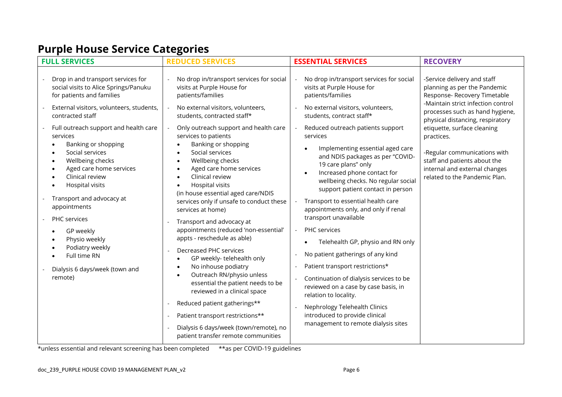## **Purple House Service Categories**

| <b>FULL SERVICES</b>                                                                                                                                                                                                                                                                                                                     | <b>REDUCED SERVICES</b>                                                                                                                                                                                                                                                                                                                                                                                                                                                                             | <b>ESSENTIAL SERVICES</b>                                                                                                                                                                                                                                                                                                                                                                                                                                             | <b>RECOVERY</b>                                                                                                                                                             |
|------------------------------------------------------------------------------------------------------------------------------------------------------------------------------------------------------------------------------------------------------------------------------------------------------------------------------------------|-----------------------------------------------------------------------------------------------------------------------------------------------------------------------------------------------------------------------------------------------------------------------------------------------------------------------------------------------------------------------------------------------------------------------------------------------------------------------------------------------------|-----------------------------------------------------------------------------------------------------------------------------------------------------------------------------------------------------------------------------------------------------------------------------------------------------------------------------------------------------------------------------------------------------------------------------------------------------------------------|-----------------------------------------------------------------------------------------------------------------------------------------------------------------------------|
| Drop in and transport services for<br>social visits to Alice Springs/Panuku<br>for patients and families                                                                                                                                                                                                                                 | No drop in/transport services for social<br>visits at Purple House for<br>patients/families                                                                                                                                                                                                                                                                                                                                                                                                         | No drop in/transport services for social<br>visits at Purple House for<br>patients/families                                                                                                                                                                                                                                                                                                                                                                           | -Service delivery and staff<br>planning as per the Pandemic<br>Response- Recovery Timetable<br>-Maintain strict infection control                                           |
| External visitors, volunteers, students,<br>contracted staff                                                                                                                                                                                                                                                                             | No external visitors, volunteers,<br>students, contracted staff*                                                                                                                                                                                                                                                                                                                                                                                                                                    | No external visitors, volunteers,<br>students, contract staff*                                                                                                                                                                                                                                                                                                                                                                                                        | processes such as hand hygiene,<br>physical distancing, respiratory                                                                                                         |
| Full outreach support and health care<br>services<br>Banking or shopping<br>Social services<br>Wellbeing checks<br>$\bullet$<br>Aged care home services<br>$\bullet$<br>Clinical review<br>Hospital visits<br>Transport and advocacy at<br>appointments<br>PHC services<br>GP weekly<br>Physio weekly<br>Podiatry weekly<br>Full time RN | Only outreach support and health care<br>services to patients<br>Banking or shopping<br>Social services<br>$\bullet$<br>Wellbeing checks<br>$\bullet$<br>Aged care home services<br>$\bullet$<br>Clinical review<br>$\bullet$<br>Hospital visits<br>$\bullet$<br>(in house essential aged care/NDIS<br>services only if unsafe to conduct these<br>services at home)<br>Transport and advocacy at<br>appointments (reduced 'non-essential'<br>appts - reschedule as able)<br>Decreased PHC services | Reduced outreach patients support<br>services<br>Implementing essential aged care<br>and NDIS packages as per "COVID-<br>19 care plans" only<br>Increased phone contact for<br>wellbeing checks. No regular social<br>support patient contact in person<br>Transport to essential health care<br>appointments only, and only if renal<br>transport unavailable<br>PHC services<br>Telehealth GP, physio and RN only<br>$\bullet$<br>No patient gatherings of any kind | etiquette, surface cleaning<br>practices.<br>-Regular communications with<br>staff and patients about the<br>internal and external changes<br>related to the Pandemic Plan. |
| Dialysis 6 days/week (town and<br>remote)                                                                                                                                                                                                                                                                                                | GP weekly- telehealth only<br>$\bullet$<br>No inhouse podiatry<br>$\bullet$<br>Outreach RN/physio unless<br>$\bullet$<br>essential the patient needs to be<br>reviewed in a clinical space<br>Reduced patient gatherings**<br>Patient transport restrictions**<br>Dialysis 6 days/week (town/remote), no<br>patient transfer remote communities                                                                                                                                                     | Patient transport restrictions*<br>Continuation of dialysis services to be<br>reviewed on a case by case basis, in<br>relation to locality.<br>Nephrology Telehealth Clinics<br>introduced to provide clinical<br>management to remote dialysis sites                                                                                                                                                                                                                 |                                                                                                                                                                             |

\*unless essential and relevant screening has been completed \*\*as per COVID-19 guidelines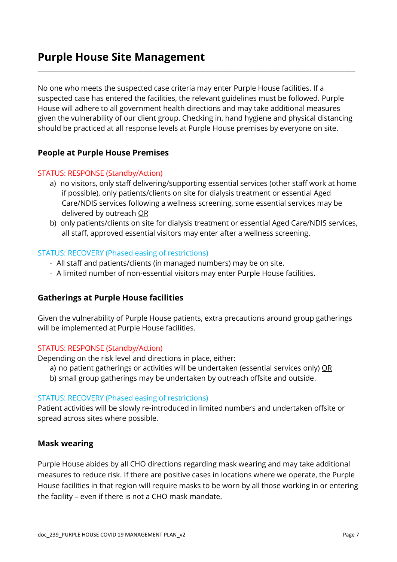### <span id="page-6-0"></span>**Purple House Site Management**

No one who meets the suspected case criteria may enter Purple House facilities. If a suspected case has entered the facilities, the relevant guidelines must be followed. Purple House will adhere to all government health directions and may take additional measures given the vulnerability of our client group. Checking in, hand hygiene and physical distancing should be practiced at all response levels at Purple House premises by everyone on site.

\_\_\_\_\_\_\_\_\_\_\_\_\_\_\_\_\_\_\_\_\_\_\_\_\_\_\_\_\_\_\_\_\_\_\_\_\_\_\_\_\_\_\_\_\_\_\_\_\_\_\_\_\_\_\_\_\_\_\_\_\_\_\_\_\_\_\_\_\_\_\_\_\_\_\_\_\_\_\_\_\_\_\_\_\_\_\_

#### **People at Purple House Premises**

#### STATUS: RESPONSE (Standby/Action)

- a) no visitors, only staff delivering/supporting essential services (other staff work at home if possible), only patients/clients on site for dialysis treatment or essential Aged Care/NDIS services following a wellness screening, some essential services may be delivered by outreach OR
- b) only patients/clients on site for dialysis treatment or essential Aged Care/NDIS services, all staff, approved essential visitors may enter after a wellness screening.

#### STATUS: RECOVERY (Phased easing of restrictions)

- All staff and patients/clients (in managed numbers) may be on site.
- A limited number of non-essential visitors may enter Purple House facilities.

#### **Gatherings at Purple House facilities**

Given the vulnerability of Purple House patients, extra precautions around group gatherings will be implemented at Purple House facilities.

#### STATUS: RESPONSE (Standby/Action)

Depending on the risk level and directions in place, either:

- a) no patient gatherings or activities will be undertaken (essential services only) OR
- b) small group gatherings may be undertaken by outreach offsite and outside.

#### STATUS: RECOVERY (Phased easing of restrictions)

Patient activities will be slowly re-introduced in limited numbers and undertaken offsite or spread across sites where possible.

#### <span id="page-6-1"></span>**Mask wearing**

Purple House abides by all CHO directions regarding mask wearing and may take additional measures to reduce risk. If there are positive cases in locations where we operate, the Purple House facilities in that region will require masks to be worn by all those working in or entering the facility – even if there is not a CHO mask mandate.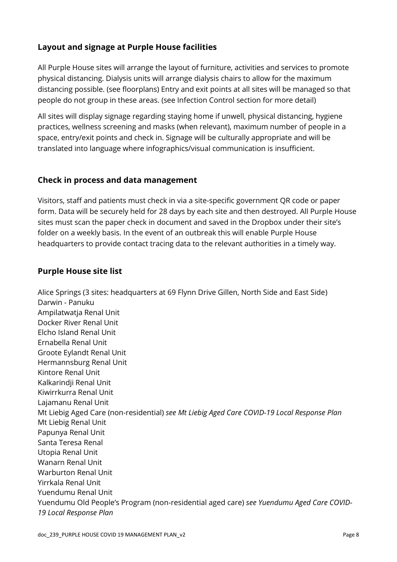#### **Layout and signage at Purple House facilities**

All Purple House sites will arrange the layout of furniture, activities and services to promote physical distancing. Dialysis units will arrange dialysis chairs to allow for the maximum distancing possible. (see floorplans) Entry and exit points at all sites will be managed so that people do not group in these areas. (see Infection Control section for more detail)

All sites will display signage regarding staying home if unwell, physical distancing, hygiene practices, wellness screening and masks (when relevant), maximum number of people in a space, entry/exit points and check in. Signage will be culturally appropriate and will be translated into language where infographics/visual communication is insufficient.

#### **Check in process and data management**

Visitors, staff and patients must check in via a site-specific government QR code or paper form. Data will be securely held for 28 days by each site and then destroyed. All Purple House sites must scan the paper check in document and saved in the Dropbox under their site's folder on a weekly basis. In the event of an outbreak this will enable Purple House headquarters to provide contact tracing data to the relevant authorities in a timely way.

#### **Purple House site list**

Alice Springs (3 sites: headquarters at 69 Flynn Drive Gillen, North Side and East Side) Darwin - Panuku Ampilatwatja Renal Unit Docker River Renal Unit Elcho Island Renal Unit Ernabella Renal Unit Groote Eylandt Renal Unit Hermannsburg Renal Unit Kintore Renal Unit Kalkarindji Renal Unit Kiwirrkurra Renal Unit Lajamanu Renal Unit Mt Liebig Aged Care (non-residential) *see Mt Liebig Aged Care COVID-19 Local Response Plan* Mt Liebig Renal Unit Papunya Renal Unit Santa Teresa Renal Utopia Renal Unit Wanarn Renal Unit Warburton Renal Unit Yirrkala Renal Unit Yuendumu Renal Unit Yuendumu Old People's Program (non-residential aged care) *see Yuendumu Aged Care COVID-19 Local Response Plan*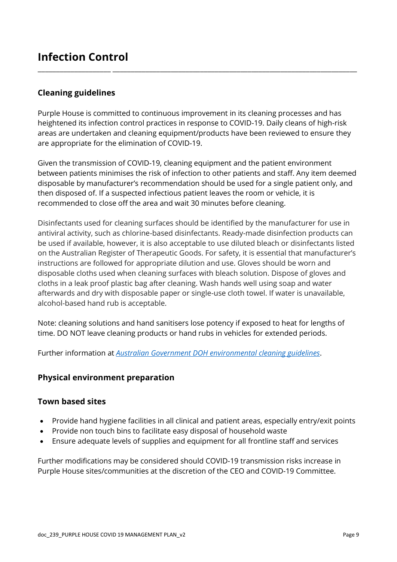#### **Cleaning guidelines**

Purple House is committed to continuous improvement in its cleaning processes and has heightened its infection control practices in response to COVID-19. Daily cleans of high-risk areas are undertaken and cleaning equipment/products have been reviewed to ensure they are appropriate for the elimination of COVID-19.

\_\_\_\_\_\_\_\_\_\_\_\_\_\_\_\_\_\_\_\_ \_\_\_\_\_\_\_\_\_\_\_\_\_\_\_\_\_\_\_\_\_\_\_\_\_\_\_\_\_\_\_\_\_\_\_\_\_\_\_\_\_\_\_\_\_\_\_\_\_\_\_\_\_\_\_\_\_\_\_\_\_\_\_\_\_\_\_

Given the transmission of COVID-19, cleaning equipment and the patient environment between patients minimises the risk of infection to other patients and staff. Any item deemed disposable by manufacturer's recommendation should be used for a single patient only, and then disposed of. If a suspected infectious patient leaves the room or vehicle, it is recommended to close off the area and wait 30 minutes before cleaning.

Disinfectants used for cleaning surfaces should be identified by the manufacturer for use in antiviral activity, such as chlorine-based disinfectants. Ready-made disinfection products can be used if available, however, it is also acceptable to use diluted bleach or disinfectants listed on the Australian Register of Therapeutic Goods. For safety, it is essential that manufacturer's instructions are followed for appropriate dilution and use. Gloves should be worn and disposable cloths used when cleaning surfaces with bleach solution. Dispose of gloves and cloths in a leak proof plastic bag after cleaning. Wash hands well using soap and water afterwards and dry with disposable paper or single-use cloth towel. If water is unavailable, alcohol-based hand rub is acceptable.

Note: cleaning solutions and hand sanitisers lose potency if exposed to heat for lengths of time. DO NOT leave cleaning products or hand rubs in vehicles for extended periods.

Further information at *[Australian Government DOH environmental cleaning guidelines](https://www.health.gov.au/resources/publications/coronavirus-covid-19-environmental-cleaning-and-disinfection-principles-for-health-and-residential-care-facilities)*.

#### **Physical environment preparation**

#### **Town based sites**

- Provide hand hygiene facilities in all clinical and patient areas, especially entry/exit points
- Provide non touch bins to facilitate easy disposal of household waste
- Ensure adequate levels of supplies and equipment for all frontline staff and services

Further modifications may be considered should COVID-19 transmission risks increase in Purple House sites/communities at the discretion of the CEO and COVID-19 Committee.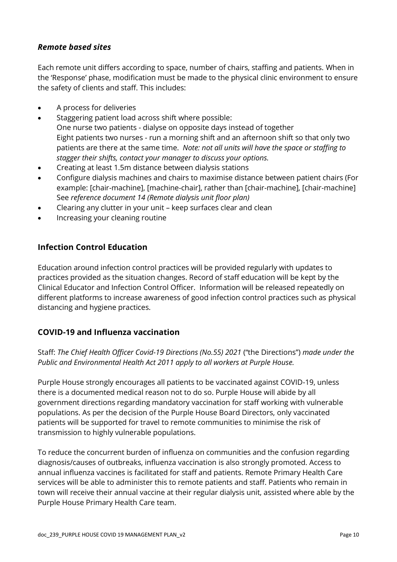#### *Remote based sites*

Each remote unit differs according to space, number of chairs, staffing and patients. When in the 'Response' phase, modification must be made to the physical clinic environment to ensure the safety of clients and staff. This includes:

- A process for deliveries
- Staggering patient load across shift where possible: One nurse two patients - dialyse on opposite days instead of together Eight patients two nurses - run a morning shift and an afternoon shift so that only two patients are there at the same time. *Note: not all units will have the space or staffing to stagger their shifts, contact your manager to discuss your options.*
- Creating at least 1.5m distance between dialysis stations
- Configure dialysis machines and chairs to maximise distance between patient chairs (For example: [chair-machine], [machine-chair], rather than [chair-machine], [chair-machine] See *reference document 14 (Remote dialysis unit floor plan)*
- Clearing any clutter in your unit keep surfaces clear and clean
- Increasing your cleaning routine

#### **Infection Control Education**

Education around infection control practices will be provided regularly with updates to practices provided as the situation changes. Record of staff education will be kept by the Clinical Educator and Infection Control Officer. Information will be released repeatedly on different platforms to increase awareness of good infection control practices such as physical distancing and hygiene practices.

#### **COVID-19 and Influenza vaccination**

Staff: *The Chief Health Officer Covid-19 Directions (No.55) 2021* ("the Directions") *made under the Public and Environmental Health Act 2011 apply to all workers at Purple House.* 

Purple House strongly encourages all patients to be vaccinated against COVID-19, unless there is a documented medical reason not to do so. Purple House will abide by all government directions regarding mandatory vaccination for staff working with vulnerable populations. As per the decision of the Purple House Board Directors, only vaccinated patients will be supported for travel to remote communities to minimise the risk of transmission to highly vulnerable populations.

<span id="page-9-0"></span>To reduce the concurrent burden of influenza on communities and the confusion regarding diagnosis/causes of outbreaks, influenza vaccination is also strongly promoted. Access to annual influenza vaccines is facilitated for staff and patients. Remote Primary Health Care services will be able to administer this to remote patients and staff. Patients who remain in town will receive their annual vaccine at their regular dialysis unit, assisted where able by the Purple House Primary Health Care team.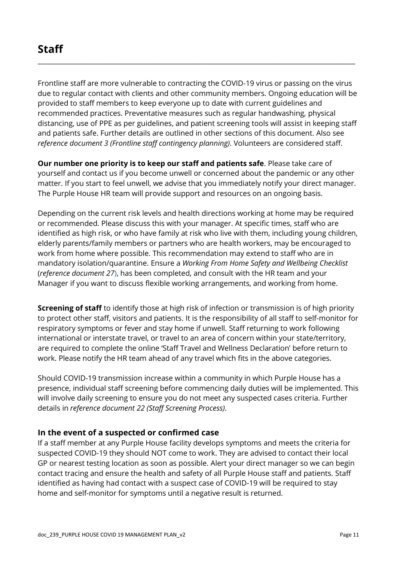Frontline staff are more vulnerable to contracting the COVID-19 virus or passing on the virus due to regular contact with clients and other community members. Ongoing education will be provided to staff members to keep everyone up to date with current guidelines and recommended practices. Preventative measures such as regular handwashing, physical distancing, use of PPE as per guidelines, and patient screening tools will assist in keeping staff and patients safe. Further details are outlined in other sections of this document. Also see *reference document 3 (Frontline staff contingency planning)*. Volunteers are considered staff.

\_\_\_\_\_\_\_\_\_\_\_\_\_\_\_\_\_\_\_\_\_\_\_\_\_\_\_\_\_\_\_\_\_\_\_\_\_\_\_\_\_\_\_\_\_\_\_\_\_\_\_\_\_\_\_\_\_\_\_\_\_\_\_\_\_\_\_\_\_\_\_\_\_\_\_\_\_\_\_\_\_\_\_\_\_\_\_

**Our number one priority is to keep our staff and patients safe**. Please take care of yourself and contact us if you become unwell or concerned about the pandemic or any other matter. If you start to feel unwell, we advise that you immediately notify your direct manager. The Purple House HR team will provide support and resources on an ongoing basis.

Depending on the current risk levels and health directions working at home may be required or recommended. Please discuss this with your manager. At specific times, staff who are identified as high risk, or who have family at risk who live with them, including young children, elderly parents/family members or partners who are health workers, may be encouraged to work from home where possible. This recommendation may extend to staff who are in mandatory isolation/quarantine. Ensure a *Working From Home Safety and Wellbeing Checklist* (*reference document 27*), has been completed, and consult with the HR team and your Manager if you want to discuss flexible working arrangements, and working from home.

**Screening of staff** to identify those at high risk of infection or transmission is of high priority to protect other staff, visitors and patients. It is the responsibility of all staff to self-monitor for respiratory symptoms or fever and stay home if unwell. Staff returning to work following international or interstate travel, or travel to an area of concern within your state/territory, are required to complete the online 'Staff Travel and Wellness Declaration' before return to work. Please notify the HR team ahead of any travel which fits in the above categories.

Should COVID-19 transmission increase within a community in which Purple House has a presence, individual staff screening before commencing daily duties will be implemented. This will involve daily screening to ensure you do not meet any suspected cases criteria. Further details in *reference document 22 (Staff Screening Process)*.

#### **In the event of a suspected or confirmed case**

If a staff member at any Purple House facility develops symptoms and meets the criteria for suspected COVID-19 they should NOT come to work. They are advised to contact their local GP or nearest testing location as soon as possible. Alert your direct manager so we can begin contact tracing and ensure the health and safety of all Purple House staff and patients. Staff identified as having had contact with a suspect case of COVID-19 will be required to stay home and self-monitor for symptoms until a negative result is returned.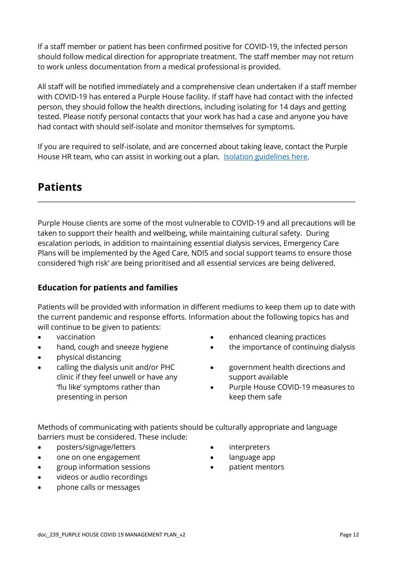If a staff member or patient has been confirmed positive for COVID-19, the infected person should follow medical direction for appropriate treatment. The staff member may not return to work unless documentation from a medical professional is provided.

All staff will be notified immediately and a comprehensive clean undertaken if a staff member with COVID-19 has entered a Purple House facility. If staff have had contact with the infected person, they should follow the health directions, including isolating for 14 days and getting tested. Please notify personal contacts that your work has had a case and anyone you have had contact with should self-isolate and monitor themselves for symptoms.

If you are required to self-isolate, and are concerned about taking leave, contact the Purple House HR team, who can assist in working out a plan. [Isolation guidelines here.](https://www.health.gov.au/news/health-alerts/novel-coronavirus-2019-ncov-health-alert/how-to-protect-yourself-and-others-from-coronavirus-covid-19/isolation-for-coronavirus-covid-19)

## **Patients**

Purple House clients are some of the most vulnerable to COVID-19 and all precautions will be taken to support their health and wellbeing, while maintaining cultural safety. During escalation periods, in addition to maintaining essential dialysis services, Emergency Care Plans will be implemented by the Aged Care, NDIS and social support teams to ensure those considered 'high risk' are being prioritised and all essential services are being delivered.

\_\_\_\_\_\_\_\_\_\_\_\_\_\_\_\_\_\_\_\_\_\_\_\_\_\_\_\_\_\_\_\_\_\_\_\_\_\_\_\_\_\_\_\_\_\_\_\_\_\_\_\_\_\_\_\_\_\_\_\_\_\_\_\_\_\_\_\_\_\_\_\_\_\_\_\_\_\_\_\_\_\_\_\_\_\_\_

#### **Education for patients and families**

Patients will be provided with information in different mediums to keep them up to date with the current pandemic and response efforts. Information about the following topics has and will continue to be given to patients:

- vaccination
- hand, cough and sneeze hygiene
- physical distancing
- calling the dialysis unit and/or PHC clinic if they feel unwell or have any 'flu like' symptoms rather than presenting in person
- enhanced cleaning practices
- the importance of continuing dialysis
- government health directions and support available
- Purple House COVID-19 measures to keep them safe

Methods of communicating with patients should be culturally appropriate and language barriers must be considered. These include:

- posters/signage/letters
- one on one engagement
- group information sessions
- videos or audio recordings
- phone calls or messages
- **interpreters**
- language app
- patient mentors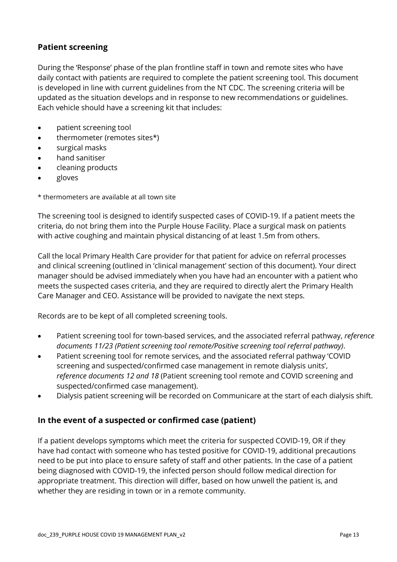#### **Patient screening**

During the 'Response' phase of the plan frontline staff in town and remote sites who have daily contact with patients are required to complete the patient screening tool. This document is developed in line with current guidelines from the NT CDC. The screening criteria will be updated as the situation develops and in response to new recommendations or guidelines. Each vehicle should have a screening kit that includes:

- patient screening tool
- thermometer (remotes sites\*)
- surgical masks
- hand sanitiser
- cleaning products
- gloves

\* thermometers are available at all town site

The screening tool is designed to identify suspected cases of COVID-19. If a patient meets the criteria, do not bring them into the Purple House Facility. Place a surgical mask on patients with active coughing and maintain physical distancing of at least 1.5m from others.

Call the local Primary Health Care provider for that patient for advice on referral processes and clinical screening (outlined in 'clinical management' section of this document). Your direct manager should be advised immediately when you have had an encounter with a patient who meets the suspected cases criteria, and they are required to directly alert the Primary Health Care Manager and CEO. Assistance will be provided to navigate the next steps.

Records are to be kept of all completed screening tools.

- Patient screening tool for town-based services, and the associated referral pathway, *reference documents 11/23 (Patient screening tool remote/Positive screening tool referral pathway)*.
- Patient screening tool for remote services, and the associated referral pathway 'COVID screening and suspected/confirmed case management in remote dialysis units', *reference documents 12 and 18* (Patient screening tool remote and COVID screening and suspected/confirmed case management).
- Dialysis patient screening will be recorded on Communicare at the start of each dialysis shift.

#### **In the event of a suspected or confirmed case (patient)**

If a patient develops symptoms which meet the criteria for suspected COVID-19, OR if they have had contact with someone who has tested positive for COVID-19, additional precautions need to be put into place to ensure safety of staff and other patients. In the case of a patient being diagnosed with COVID-19, the infected person should follow medical direction for appropriate treatment. This direction will differ, based on how unwell the patient is, and whether they are residing in town or in a remote community.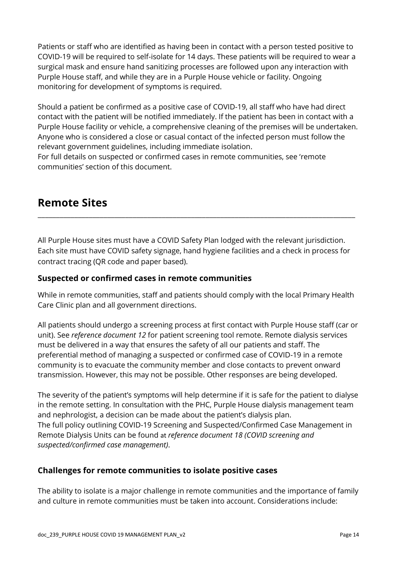Patients or staff who are identified as having been in contact with a person tested positive to COVID-19 will be required to self-isolate for 14 days. These patients will be required to wear a surgical mask and ensure hand sanitizing processes are followed upon any interaction with Purple House staff, and while they are in a Purple House vehicle or facility. Ongoing monitoring for development of symptoms is required.

Should a patient be confirmed as a positive case of COVID-19, all staff who have had direct contact with the patient will be notified immediately. If the patient has been in contact with a Purple House facility or vehicle, a comprehensive cleaning of the premises will be undertaken. Anyone who is considered a close or casual contact of the infected person must follow the relevant government guidelines, including immediate isolation.

<span id="page-13-0"></span>For full details on suspected or confirmed cases in remote communities, see 'remote communities' section of this document.

## **Remote Sites**

All Purple House sites must have a COVID Safety Plan lodged with the relevant jurisdiction. Each site must have COVID safety signage, hand hygiene facilities and a check in process for contract tracing (QR code and paper based).

\_\_\_\_\_\_\_\_\_\_\_\_\_\_\_\_\_\_\_\_\_\_\_\_\_\_\_\_\_\_\_\_\_\_\_\_\_\_\_\_\_\_\_\_\_\_\_\_\_\_\_\_\_\_\_\_\_\_\_\_\_\_\_\_\_\_\_\_\_\_\_\_\_\_\_\_\_\_\_\_\_\_\_\_\_\_\_

#### **Suspected or confirmed cases in remote communities**

While in remote communities, staff and patients should comply with the local Primary Health Care Clinic plan and all government directions.

All patients should undergo a screening process at first contact with Purple House staff (car or unit). See *reference document 12* for patient screening tool remote. Remote dialysis services must be delivered in a way that ensures the safety of all our patients and staff. The preferential method of managing a suspected or confirmed case of COVID-19 in a remote community is to evacuate the community member and close contacts to prevent onward transmission. However, this may not be possible. Other responses are being developed.

The severity of the patient's symptoms will help determine if it is safe for the patient to dialyse in the remote setting. In consultation with the PHC, Purple House dialysis management team and nephrologist, a decision can be made about the patient's dialysis plan. The full policy outlining COVID-19 Screening and Suspected/Confirmed Case Management in Remote Dialysis Units can be found at *reference document 18 (COVID screening and suspected/confirmed case management)*.

#### **Challenges for remote communities to isolate positive cases**

The ability to isolate is a major challenge in remote communities and the importance of family and culture in remote communities must be taken into account. Considerations include: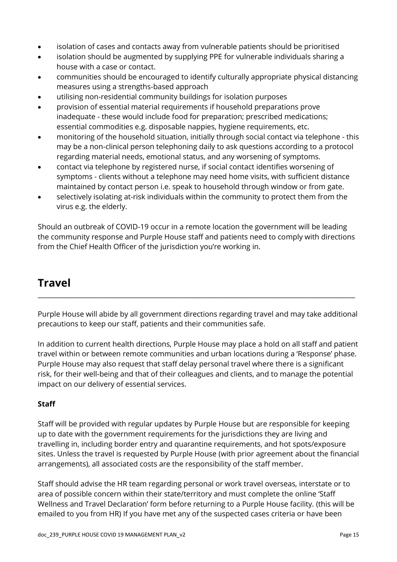- isolation of cases and contacts away from vulnerable patients should be prioritised
- isolation should be augmented by supplying PPE for vulnerable individuals sharing a house with a case or contact.
- communities should be encouraged to identify culturally appropriate physical distancing measures using a strengths-based approach
- utilising non-residential community buildings for isolation purposes
- provision of essential material requirements if household preparations prove inadequate - these would include food for preparation; prescribed medications; essential commodities e.g. disposable nappies, hygiene requirements, etc.
- monitoring of the household situation, initially through social contact via telephone this may be a non-clinical person telephoning daily to ask questions according to a protocol regarding material needs, emotional status, and any worsening of symptoms.
- contact via telephone by registered nurse, if social contact identifies worsening of symptoms - clients without a telephone may need home visits, with sufficient distance maintained by contact person i.e. speak to household through window or from gate.
- selectively isolating at-risk individuals within the community to protect them from the virus e.g. the elderly.

Should an outbreak of COVID-19 occur in a remote location the government will be leading the community response and Purple House staff and patients need to comply with directions from the Chief Health Officer of the jurisdiction you're working in.

## <span id="page-14-0"></span>**Travel**

Purple House will abide by all government directions regarding travel and may take additional precautions to keep our staff, patients and their communities safe.

\_\_\_\_\_\_\_\_\_\_\_\_\_\_\_\_\_\_\_\_\_\_\_\_\_\_\_\_\_\_\_\_\_\_\_\_\_\_\_\_\_\_\_\_\_\_\_\_\_\_\_\_\_\_\_\_\_\_\_\_\_\_\_\_\_\_\_\_\_\_\_\_\_\_\_\_\_\_\_\_\_\_\_\_\_\_\_

In addition to current health directions, Purple House may place a hold on all staff and patient travel within or between remote communities and urban locations during a 'Response' phase. Purple House may also request that staff delay personal travel where there is a significant risk, for their well-being and that of their colleagues and clients, and to manage the potential impact on our delivery of essential services.

#### **Staff**

Staff will be provided with regular updates by Purple House but are responsible for keeping up to date with the government requirements for the jurisdictions they are living and travelling in, including border entry and quarantine requirements, and hot spots/exposure sites. Unless the travel is requested by Purple House (with prior agreement about the financial arrangements), all associated costs are the responsibility of the staff member.

Staff should advise the HR team regarding personal or work travel overseas, interstate or to area of possible concern within their state/territory and must complete the online 'Staff Wellness and Travel Declaration' form before returning to a Purple House facility. (this will be emailed to you from HR) If you have met any of the suspected cases criteria or have been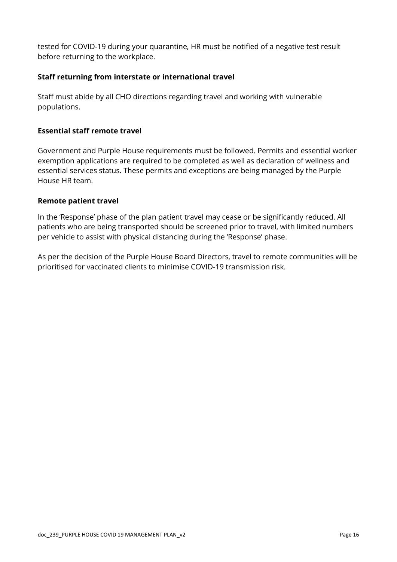tested for COVID-19 during your quarantine, HR must be notified of a negative test result before returning to the workplace.

#### **Staff returning from interstate or international travel**

Staff must abide by all CHO directions regarding travel and working with vulnerable populations.

#### **Essential staff remote travel**

Government and Purple House requirements must be followed. Permits and essential worker exemption applications are required to be completed as well as declaration of wellness and essential services status. These permits and exceptions are being managed by the Purple House HR team.

#### **Remote patient travel**

In the 'Response' phase of the plan patient travel may cease or be significantly reduced. All patients who are being transported should be screened prior to travel, with limited numbers per vehicle to assist with physical distancing during the 'Response' phase.

As per the decision of the Purple House Board Directors, travel to remote communities will be prioritised for vaccinated clients to minimise COVID-19 transmission risk.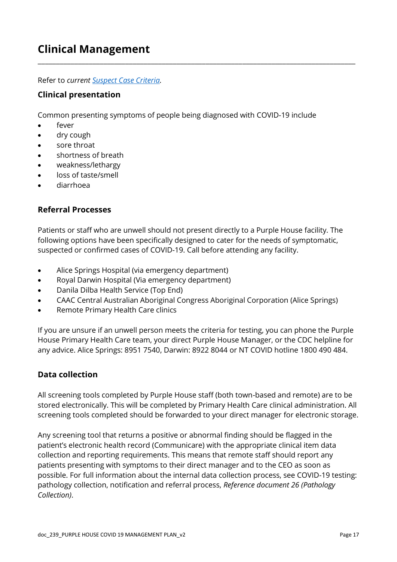## **Clinical Management**

Refer to *current [Suspect Case Criteria.](https://health.nt.gov.au/health-alerts/covid-19-alert-for-clinicians)*

#### **Clinical presentation**

Common presenting symptoms of people being diagnosed with COVID-19 include

\_\_\_\_\_\_\_\_\_\_\_\_\_\_\_\_\_\_\_\_\_\_\_\_\_\_\_\_\_\_\_\_\_\_\_\_\_\_\_\_\_\_\_\_\_\_\_\_\_\_\_\_\_\_\_\_\_\_\_\_\_\_\_\_\_\_\_\_\_\_\_\_\_\_\_\_\_\_\_\_\_\_\_\_\_\_\_

- fever
- dry cough
- sore throat
- shortness of breath
- weakness/lethargy
- loss of taste/smell
- diarrhoea

#### **Referral Processes**

Patients or staff who are unwell should not present directly to a Purple House facility. The following options have been specifically designed to cater for the needs of symptomatic, suspected or confirmed cases of COVID-19. Call before attending any facility.

- Alice Springs Hospital (via emergency department)
- Royal Darwin Hospital (Via emergency department)
- Danila Dilba Health Service (Top End)
- CAAC Central Australian Aboriginal Congress Aboriginal Corporation (Alice Springs)
- Remote Primary Health Care clinics

If you are unsure if an unwell person meets the criteria for testing, you can phone the Purple House Primary Health Care team, your direct Purple House Manager, or the CDC helpline for any advice. Alice Springs: 8951 7540, Darwin: 8922 8044 or NT COVID hotline [1800 490 484.](tel:1800490484)

#### **Data collection**

All screening tools completed by Purple House staff (both town-based and remote) are to be stored electronically. This will be completed by Primary Health Care clinical administration. All screening tools completed should be forwarded to your direct manager for electronic storage.

<span id="page-16-0"></span>Any screening tool that returns a positive or abnormal finding should be flagged in the patient's electronic health record (Communicare) with the appropriate clinical item data collection and reporting requirements. This means that remote staff should report any patients presenting with symptoms to their direct manager and to the CEO as soon as possible. For full information about the internal data collection process, see COVID-19 testing: pathology collection, notification and referral process, *Reference document 26 (Pathology Collection)*.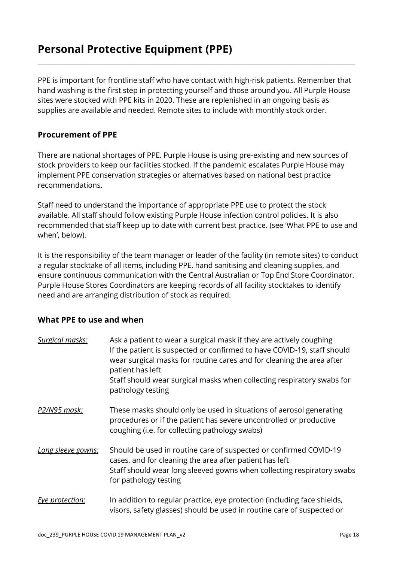## **Personal Protective Equipment (PPE)**

PPE is important for frontline staff who have contact with high-risk patients. Remember that hand washing is the first step in protecting yourself and those around you. All Purple House sites were stocked with PPE kits in 2020. These are replenished in an ongoing basis as supplies are available and needed. Remote sites to include with monthly stock order.

\_\_\_\_\_\_\_\_\_\_\_\_\_\_\_\_\_\_\_\_\_\_\_\_\_\_\_\_\_\_\_\_\_\_\_\_\_\_\_\_\_\_\_\_\_\_\_\_\_\_\_\_\_\_\_\_\_\_\_\_\_\_\_\_\_\_\_\_\_\_\_\_\_\_\_\_\_\_\_\_\_\_\_\_\_\_\_

#### **Procurement of PPE**

There are national shortages of PPE. Purple House is using pre-existing and new sources of stock providers to keep our facilities stocked. If the pandemic escalates Purple House may implement PPE conservation strategies or alternatives based on national best practice recommendations.

Staff need to understand the importance of appropriate PPE use to protect the stock available. All staff should follow existing Purple House infection control policies. It is also recommended that staff keep up to date with current best practice. (see 'What PPE to use and when', below).

It is the responsibility of the team manager or leader of the facility (in remote sites) to conduct a regular stocktake of all items, including PPE, hand sanitising and cleaning supplies, and ensure continuous communication with the Central Australian or Top End Store Coordinator. Purple House Stores Coordinators are keeping records of all facility stocktakes to identify need and are arranging distribution of stock as required.

#### **What PPE to use and when**

| Surgical masks:     | Ask a patient to wear a surgical mask if they are actively coughing<br>If the patient is suspected or confirmed to have COVID-19, staff should<br>wear surgical masks for routine cares and for cleaning the area after<br>patient has left<br>Staff should wear surgical masks when collecting respiratory swabs for<br>pathology testing |
|---------------------|--------------------------------------------------------------------------------------------------------------------------------------------------------------------------------------------------------------------------------------------------------------------------------------------------------------------------------------------|
| <u>P2/N95 mask:</u> | These masks should only be used in situations of aerosol generating<br>procedures or if the patient has severe uncontrolled or productive<br>coughing (i.e. for collecting pathology swabs)                                                                                                                                                |
| Long sleeve gowns:  | Should be used in routine care of suspected or confirmed COVID-19<br>cases, and for cleaning the area after patient has left<br>Staff should wear long sleeved gowns when collecting respiratory swabs<br>for pathology testing                                                                                                            |
| Eye protection:     | In addition to regular practice, eye protection (including face shields,<br>visors, safety glasses) should be used in routine care of suspected or                                                                                                                                                                                         |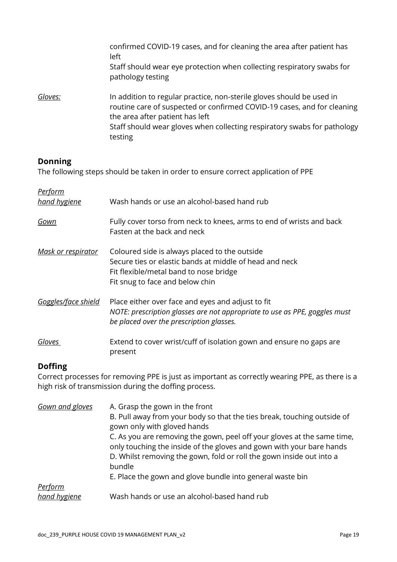|         | confirmed COVID-19 cases, and for cleaning the area after patient has<br>left<br>Staff should wear eye protection when collecting respiratory swabs for<br>pathology testing                                                                                               |
|---------|----------------------------------------------------------------------------------------------------------------------------------------------------------------------------------------------------------------------------------------------------------------------------|
| Gloves: | In addition to regular practice, non-sterile gloves should be used in<br>routine care of suspected or confirmed COVID-19 cases, and for cleaning<br>the area after patient has left<br>Staff should wear gloves when collecting respiratory swabs for pathology<br>testing |

#### **Donning**

The following steps should be taken in order to ensure correct application of PPE

| <u>Perform</u><br>hand hygiene | Wash hands or use an alcohol-based hand rub                                                                                                                                           |
|--------------------------------|---------------------------------------------------------------------------------------------------------------------------------------------------------------------------------------|
| Gown                           | Fully cover torso from neck to knees, arms to end of wrists and back<br>Fasten at the back and neck                                                                                   |
| <u>Mask or respirator</u>      | Coloured side is always placed to the outside<br>Secure ties or elastic bands at middle of head and neck<br>Fit flexible/metal band to nose bridge<br>Fit snug to face and below chin |
| Goggles/face shield            | Place either over face and eyes and adjust to fit<br>NOTE: prescription glasses are not appropriate to use as PPE, goggles must<br>be placed over the prescription glasses.           |
| Gloves                         | Extend to cover wrist/cuff of isolation gown and ensure no gaps are<br>present                                                                                                        |

#### **Doffing**

Correct processes for removing PPE is just as important as correctly wearing PPE, as there is a high risk of transmission during the doffing process.

| Gown and gloves | A. Grasp the gown in the front<br>B. Pull away from your body so that the ties break, touching outside of<br>gown only with gloved hands<br>C. As you are removing the gown, peel off your gloves at the same time,<br>only touching the inside of the gloves and gown with your bare hands<br>D. Whilst removing the gown, fold or roll the gown inside out into a<br>bundle<br>E. Place the gown and glove bundle into general waste bin |
|-----------------|--------------------------------------------------------------------------------------------------------------------------------------------------------------------------------------------------------------------------------------------------------------------------------------------------------------------------------------------------------------------------------------------------------------------------------------------|
| <b>Perform</b>  |                                                                                                                                                                                                                                                                                                                                                                                                                                            |
| hand hygiene    | Wash hands or use an alcohol-based hand rub                                                                                                                                                                                                                                                                                                                                                                                                |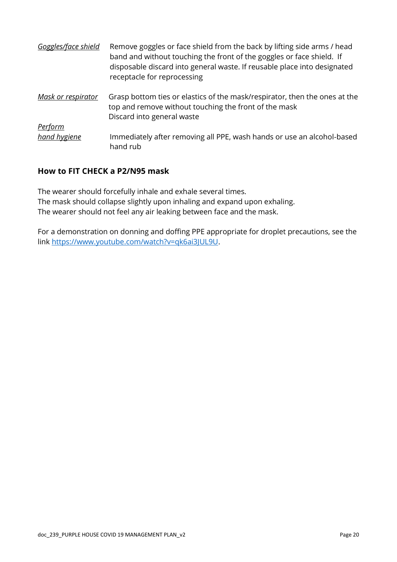| Goggles/face shield | Remove goggles or face shield from the back by lifting side arms / head<br>band and without touching the front of the goggles or face shield. If<br>disposable discard into general waste. If reusable place into designated<br>receptacle for reprocessing |
|---------------------|-------------------------------------------------------------------------------------------------------------------------------------------------------------------------------------------------------------------------------------------------------------|
| Mask or respirator  | Grasp bottom ties or elastics of the mask/respirator, then the ones at the<br>top and remove without touching the front of the mask<br>Discard into general waste                                                                                           |
| <b>Perform</b>      |                                                                                                                                                                                                                                                             |
| hand hygiene        | Immediately after removing all PPE, wash hands or use an alcohol-based<br>hand rub                                                                                                                                                                          |

#### **How to FIT CHECK a P2/N95 mask**

The wearer should forcefully inhale and exhale several times. The mask should collapse slightly upon inhaling and expand upon exhaling. The wearer should not feel any air leaking between face and the mask.

For a demonstration on donning and doffing PPE appropriate for droplet precautions, see the link [https://www.youtube.com/watch?v=qk6ai3JUL9U.](https://www.youtube.com/watch?v=qk6ai3JUL9U)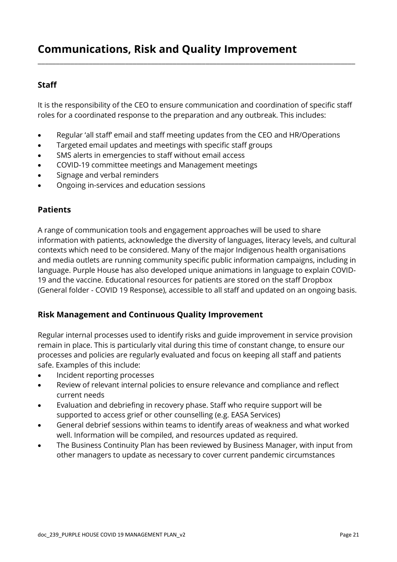## **Communications, Risk and Quality Improvement**

#### **Staff**

It is the responsibility of the CEO to ensure communication and coordination of specific staff roles for a coordinated response to the preparation and any outbreak. This includes:

\_\_\_\_\_\_\_\_\_\_\_\_\_\_\_\_\_\_\_\_\_\_\_\_\_\_\_\_\_\_\_\_\_\_\_\_\_\_\_\_\_\_\_\_\_\_\_\_\_\_\_\_\_\_\_\_\_\_\_\_\_\_\_\_\_\_\_\_\_\_\_\_\_\_\_\_\_\_\_\_\_\_\_\_\_\_\_

- Regular 'all staff' email and staff meeting updates from the CEO and HR/Operations
- Targeted email updates and meetings with specific staff groups
- SMS alerts in emergencies to staff without email access
- COVID-19 committee meetings and Management meetings
- Signage and verbal reminders
- Ongoing in-services and education sessions

#### **Patients**

A range of communication tools and engagement approaches will be used to share information with patients, acknowledge the diversity of languages, literacy levels, and cultural contexts which need to be considered. Many of the major Indigenous health organisations and media outlets are running community specific public information campaigns, including in language. Purple House has also developed unique animations in language to explain COVID-19 and the vaccine. Educational resources for patients are stored on the staff Dropbox (General folder - COVID 19 Response), accessible to all staff and updated on an ongoing basis.

#### **Risk Management and Continuous Quality Improvement**

Regular internal processes used to identify risks and guide improvement in service provision remain in place. This is particularly vital during this time of constant change, to ensure our processes and policies are regularly evaluated and focus on keeping all staff and patients safe. Examples of this include:

- Incident reporting processes
- Review of relevant internal policies to ensure relevance and compliance and reflect current needs
- Evaluation and debriefing in recovery phase. Staff who require support will be supported to access grief or other counselling (e.g. EASA Services)
- General debrief sessions within teams to identify areas of weakness and what worked well. Information will be compiled, and resources updated as required.
- <span id="page-20-0"></span>• The Business Continuity Plan has been reviewed by Business Manager, with input from other managers to update as necessary to cover current pandemic circumstances